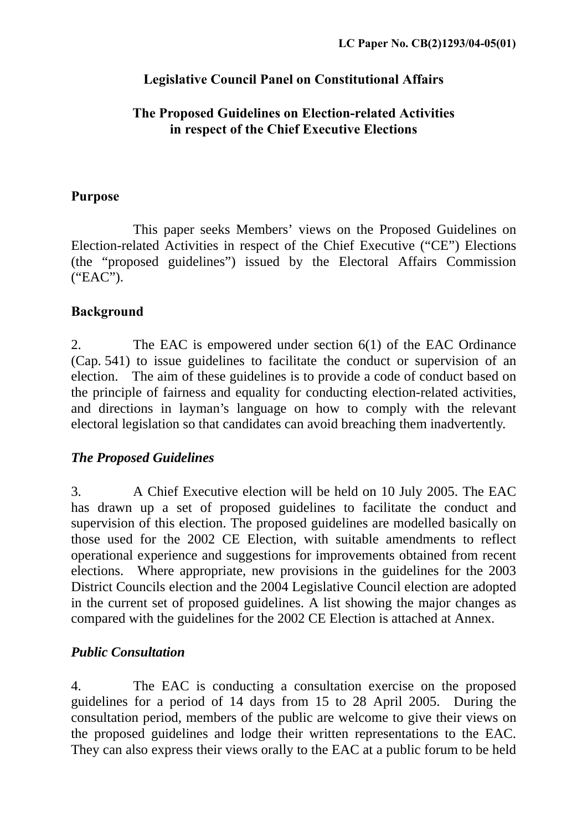## **Legislative Council Panel on Constitutional Affairs**

#### **The Proposed Guidelines on Election-related Activities in respect of the Chief Executive Elections**

#### **Purpose**

This paper seeks Members' views on the Proposed Guidelines on Election-related Activities in respect of the Chief Executive ("CE") Elections (the "proposed guidelines") issued by the Electoral Affairs Commission ("EAC").

## **Background**

2. The EAC is empowered under section 6(1) of the EAC Ordinance (Cap. 541) to issue guidelines to facilitate the conduct or supervision of an election. The aim of these guidelines is to provide a code of conduct based on the principle of fairness and equality for conducting election-related activities, and directions in layman's language on how to comply with the relevant electoral legislation so that candidates can avoid breaching them inadvertently.

## *The Proposed Guidelines*

3. A Chief Executive election will be held on 10 July 2005. The EAC has drawn up a set of proposed guidelines to facilitate the conduct and supervision of this election. The proposed guidelines are modelled basically on those used for the 2002 CE Election, with suitable amendments to reflect operational experience and suggestions for improvements obtained from recent elections. Where appropriate, new provisions in the guidelines for the 2003 District Councils election and the 2004 Legislative Council election are adopted in the current set of proposed guidelines. A list showing the major changes as compared with the guidelines for the 2002 CE Election is attached at Annex.

## *Public Consultation*

4. The EAC is conducting a consultation exercise on the proposed guidelines for a period of 14 days from 15 to 28 April 2005. During the consultation period, members of the public are welcome to give their views on the proposed guidelines and lodge their written representations to the EAC. They can also express their views orally to the EAC at a public forum to be held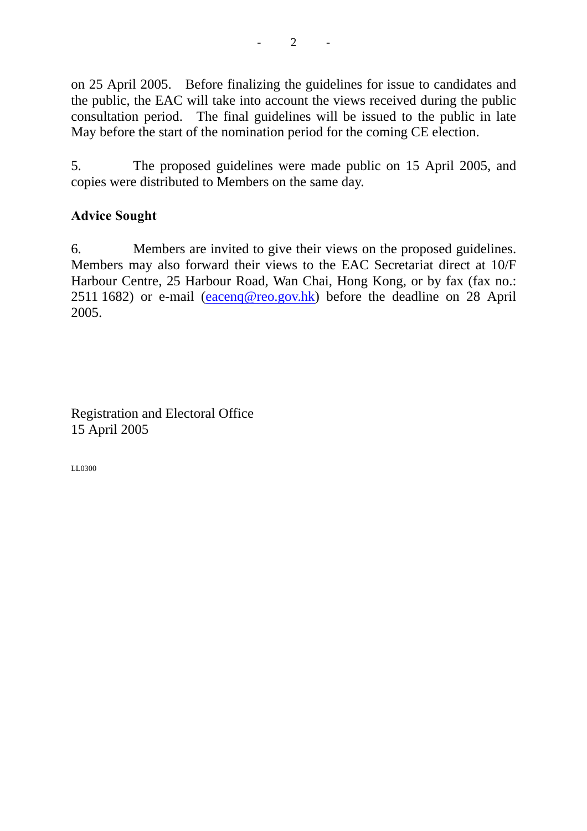on 25 April 2005. Before finalizing the guidelines for issue to candidates and the public, the EAC will take into account the views received during the public consultation period. The final guidelines will be issued to the public in late May before the start of the nomination period for the coming CE election.

5. The proposed guidelines were made public on 15 April 2005, and copies were distributed to Members on the same day.

## **Advice Sought**

6. Members are invited to give their views on the proposed guidelines. Members may also forward their views to the EAC Secretariat direct at 10/F Harbour Centre, 25 Harbour Road, Wan Chai, Hong Kong, or by fax (fax no.: 2511 1682) or e-mail ([eacenq@reo.gov.hk](mailto:eacenq@reo.gov.hk)) before the deadline on 28 April 2005.

Registration and Electoral Office 15 April 2005

LL0300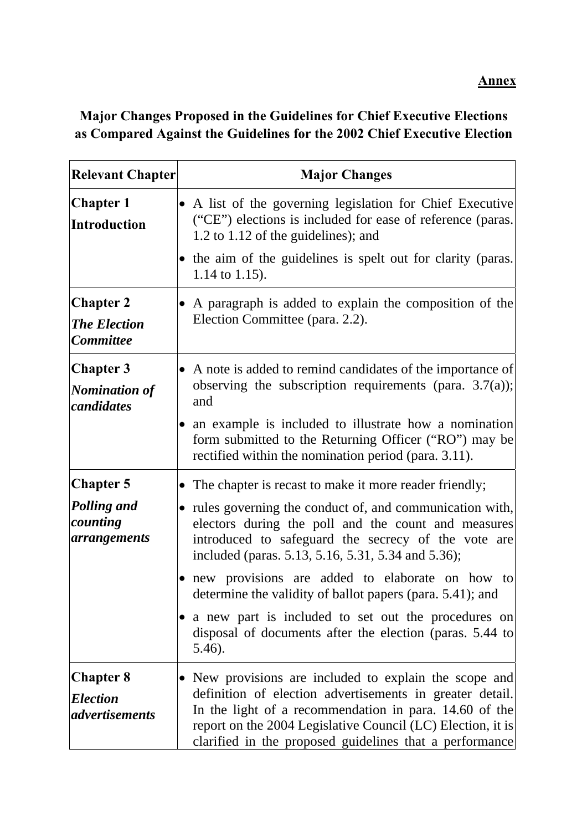# **Major Changes Proposed in the Guidelines for Chief Executive Elections as Compared Against the Guidelines for the 2002 Chief Executive Election**

| <b>Relevant Chapter</b>                                            | <b>Major Changes</b>                                                                                                                                                                                                                                                                                                                                                                                                                                                                                                                               |
|--------------------------------------------------------------------|----------------------------------------------------------------------------------------------------------------------------------------------------------------------------------------------------------------------------------------------------------------------------------------------------------------------------------------------------------------------------------------------------------------------------------------------------------------------------------------------------------------------------------------------------|
| <b>Chapter 1</b><br><b>Introduction</b>                            | A list of the governing legislation for Chief Executive<br>("CE") elections is included for ease of reference (paras.<br>1.2 to 1.12 of the guidelines); and                                                                                                                                                                                                                                                                                                                                                                                       |
|                                                                    | • the aim of the guidelines is spelt out for clarity (paras.<br>1.14 to 1.15).                                                                                                                                                                                                                                                                                                                                                                                                                                                                     |
| <b>Chapter 2</b><br><b>The Election</b><br><b>Committee</b>        | A paragraph is added to explain the composition of the<br>Election Committee (para. 2.2).                                                                                                                                                                                                                                                                                                                                                                                                                                                          |
| <b>Chapter 3</b><br><b>Nomination of</b><br>candidates             | A note is added to remind candidates of the importance of<br>observing the subscription requirements (para. $3.7(a)$ );<br>and<br>an example is included to illustrate how a nomination<br>$\bullet$<br>form submitted to the Returning Officer ("RO") may be<br>rectified within the nomination period (para. 3.11).                                                                                                                                                                                                                              |
| <b>Chapter 5</b><br><b>Polling and</b><br>counting<br>arrangements | The chapter is recast to make it more reader friendly;<br>rules governing the conduct of, and communication with,<br>$\bullet$<br>electors during the poll and the count and measures<br>introduced to safeguard the secrecy of the vote are<br>included (paras. 5.13, 5.16, 5.31, 5.34 and 5.36);<br>new provisions are added to elaborate on how to<br>determine the validity of ballot papers (para. 5.41); and<br>a new part is included to set out the procedures on<br>disposal of documents after the election (paras. 5.44 to<br>$5.46$ ). |
| <b>Chapter 8</b><br><b>Election</b><br><i>advertisements</i>       | New provisions are included to explain the scope and<br>definition of election advertisements in greater detail.<br>In the light of a recommendation in para. 14.60 of the<br>report on the 2004 Legislative Council (LC) Election, it is<br>clarified in the proposed guidelines that a performance                                                                                                                                                                                                                                               |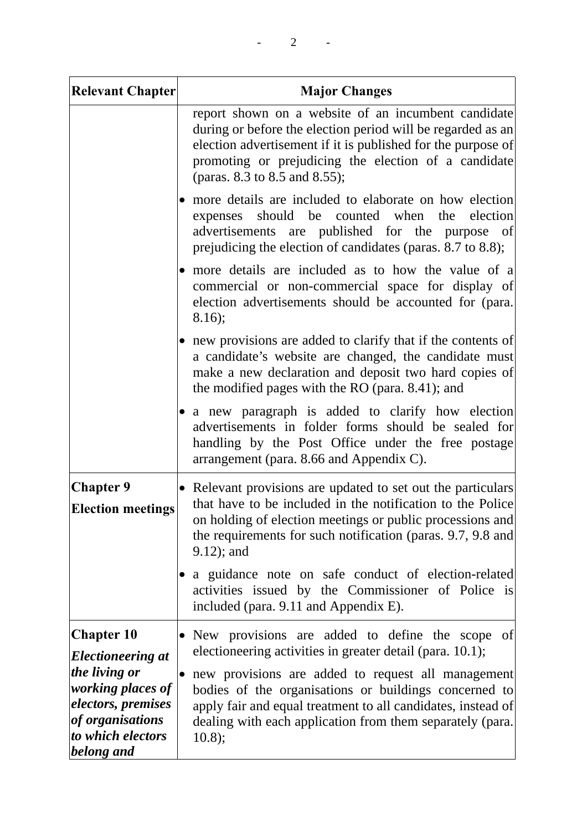| <b>Relevant Chapter</b>                                                                                                                                                        | <b>Major Changes</b>                                                                                                                                                                                                                                                        |
|--------------------------------------------------------------------------------------------------------------------------------------------------------------------------------|-----------------------------------------------------------------------------------------------------------------------------------------------------------------------------------------------------------------------------------------------------------------------------|
|                                                                                                                                                                                | report shown on a website of an incumbent candidate<br>during or before the election period will be regarded as an<br>election advertisement if it is published for the purpose of<br>promoting or prejudicing the election of a candidate<br>(paras. 8.3 to 8.5 and 8.55); |
|                                                                                                                                                                                | more details are included to elaborate on how election<br>should be counted<br>when<br>the<br>election<br>expenses<br>advertisements are published for the purpose of<br>prejudicing the election of candidates (paras. 8.7 to 8.8);                                        |
|                                                                                                                                                                                | more details are included as to how the value of a<br>commercial or non-commercial space for display of<br>election advertisements should be accounted for (para.<br>8.16);                                                                                                 |
|                                                                                                                                                                                | new provisions are added to clarify that if the contents of<br>$\bullet$<br>a candidate's website are changed, the candidate must<br>make a new declaration and deposit two hard copies of<br>the modified pages with the RO (para. 8.41); and                              |
|                                                                                                                                                                                | a new paragraph is added to clarify how election<br>$\bullet$<br>advertisements in folder forms should be sealed for<br>handling by the Post Office under the free postage<br>arrangement (para. 8.66 and Appendix C).                                                      |
| <b>Chapter 9</b><br><b>Election meetings</b>                                                                                                                                   | • Relevant provisions are updated to set out the particulars<br>that have to be included in the notification to the Police<br>on holding of election meetings or public processions and<br>the requirements for such notification (paras. 9.7, 9.8 and<br>$9.12$ ; and      |
|                                                                                                                                                                                | a guidance note on safe conduct of election-related<br>activities issued by the Commissioner of Police is<br>included (para. 9.11 and Appendix E).                                                                                                                          |
| <b>Chapter 10</b><br><i>Electioneering at</i><br>the living or<br><i>working places of</i><br><i>electors, premises</i><br>of organisations<br>to which electors<br>belong and | • New provisions are added to define the scope of<br>electioneering activities in greater detail (para. 10.1);                                                                                                                                                              |
|                                                                                                                                                                                | new provisions are added to request all management<br>bodies of the organisations or buildings concerned to<br>apply fair and equal treatment to all candidates, instead of<br>dealing with each application from them separately (para.<br>10.8);                          |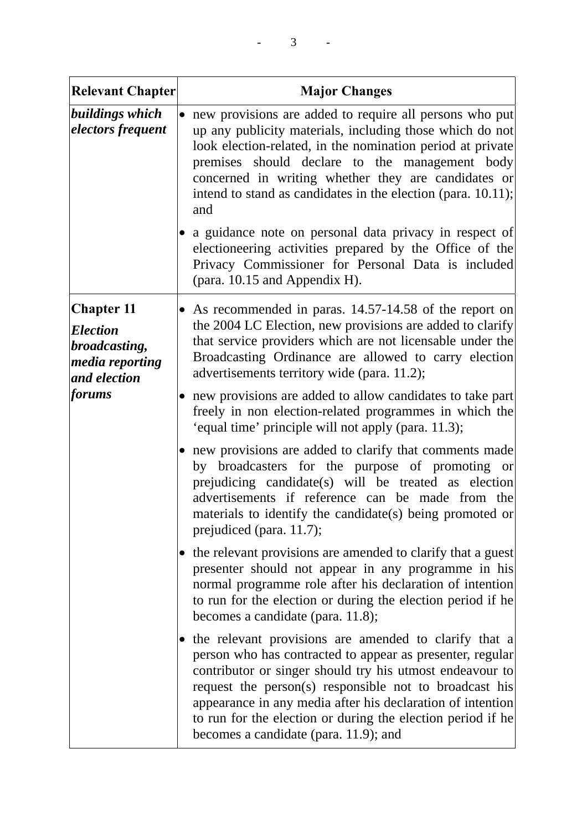| <b>Relevant Chapter</b>                                                                                          | <b>Major Changes</b>                                                                                                                                                                                                                                                                                                                                                                                             |
|------------------------------------------------------------------------------------------------------------------|------------------------------------------------------------------------------------------------------------------------------------------------------------------------------------------------------------------------------------------------------------------------------------------------------------------------------------------------------------------------------------------------------------------|
| buildings which<br>electors frequent                                                                             | • new provisions are added to require all persons who put<br>up any publicity materials, including those which do not<br>look election-related, in the nomination period at private<br>premises should declare to the management body<br>concerned in writing whether they are candidates or<br>intend to stand as candidates in the election (para. 10.11);<br>and                                              |
|                                                                                                                  | a guidance note on personal data privacy in respect of<br>electioneering activities prepared by the Office of the<br>Privacy Commissioner for Personal Data is included<br>(para. 10.15 and Appendix H).                                                                                                                                                                                                         |
| <b>Chapter 11</b><br><b>Election</b><br>broadcasting,<br><i>media reporting</i><br>and election<br><i>forums</i> | • As recommended in paras. 14.57-14.58 of the report on<br>the 2004 LC Election, new provisions are added to clarify<br>that service providers which are not licensable under the<br>Broadcasting Ordinance are allowed to carry election<br>advertisements territory wide (para. 11.2);                                                                                                                         |
|                                                                                                                  | new provisions are added to allow candidates to take part<br>freely in non election-related programmes in which the<br>'equal time' principle will not apply (para. 11.3);                                                                                                                                                                                                                                       |
|                                                                                                                  | • new provisions are added to clarify that comments made<br>by broadcasters for the purpose of promoting or<br>prejudicing candidate(s) will be treated as election<br>advertisements if reference can be made from the<br>materials to identify the candidate(s) being promoted or<br>prejudiced (para. 11.7);                                                                                                  |
|                                                                                                                  | the relevant provisions are amended to clarify that a guest<br>presenter should not appear in any programme in his<br>normal programme role after his declaration of intention<br>to run for the election or during the election period if he<br>becomes a candidate (para. 11.8);                                                                                                                               |
|                                                                                                                  | • the relevant provisions are amended to clarify that a<br>person who has contracted to appear as presenter, regular<br>contributor or singer should try his utmost endeavour to<br>request the person(s) responsible not to broadcast his<br>appearance in any media after his declaration of intention<br>to run for the election or during the election period if he<br>becomes a candidate (para. 11.9); and |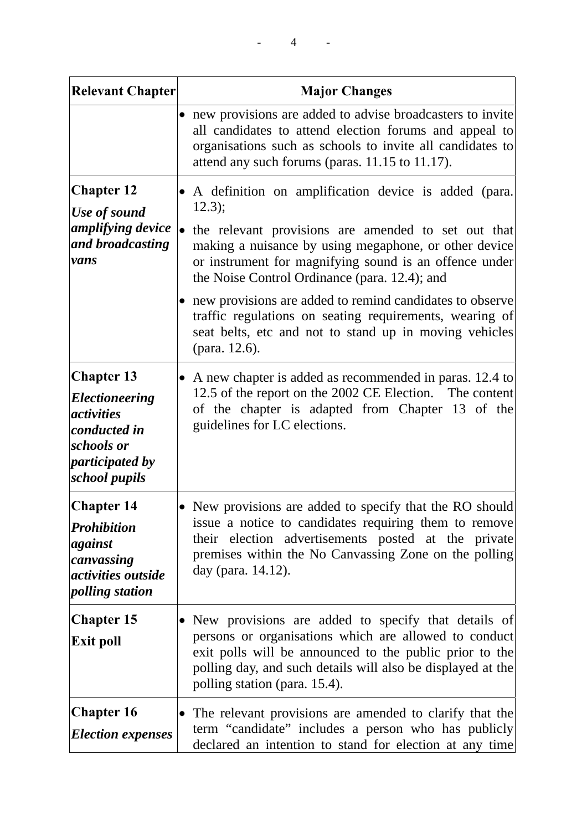| <b>Relevant Chapter</b>                                                                                                                  | <b>Major Changes</b>                                                                                                                                                                                                                                                    |
|------------------------------------------------------------------------------------------------------------------------------------------|-------------------------------------------------------------------------------------------------------------------------------------------------------------------------------------------------------------------------------------------------------------------------|
|                                                                                                                                          | new provisions are added to advise broadcasters to invite<br>all candidates to attend election forums and appeal to<br>organisations such as schools to invite all candidates to<br>attend any such forums (paras. 11.15 to 11.17).                                     |
| <b>Chapter 12</b><br>Use of sound<br>amplifying device<br>and broadcasting<br>vans                                                       | A definition on amplification device is added (para.<br>12.3);                                                                                                                                                                                                          |
|                                                                                                                                          | • the relevant provisions are amended to set out that<br>making a nuisance by using megaphone, or other device<br>or instrument for magnifying sound is an offence under<br>the Noise Control Ordinance (para. 12.4); and                                               |
|                                                                                                                                          | new provisions are added to remind candidates to observe<br>traffic regulations on seating requirements, wearing of<br>seat belts, etc and not to stand up in moving vehicles<br>(para. 12.6).                                                                          |
| <b>Chapter 13</b><br><i><b>Electioneering</b></i><br><i>activities</i><br>conducted in<br>schools or<br>participated by<br>school pupils | A new chapter is added as recommended in paras. 12.4 to<br>12.5 of the report on the 2002 CE Election. The content<br>of the chapter is adapted from Chapter 13 of the<br>guidelines for LC elections.                                                                  |
| <b>Chapter 14</b><br><b>Prohibition</b><br>against<br>canvassing<br><i>activities outside</i><br>polling station                         | New provisions are added to specify that the RO should<br>$\bullet$<br>issue a notice to candidates requiring them to remove<br>their election advertisements posted at the private<br>premises within the No Canvassing Zone on the polling<br>day (para. 14.12).      |
| <b>Chapter 15</b><br><b>Exit poll</b>                                                                                                    | New provisions are added to specify that details of<br>persons or organisations which are allowed to conduct<br>exit polls will be announced to the public prior to the<br>polling day, and such details will also be displayed at the<br>polling station (para. 15.4). |
| <b>Chapter 16</b><br><b>Election expenses</b>                                                                                            | The relevant provisions are amended to clarify that the<br>$\bullet$<br>term "candidate" includes a person who has publicly<br>declared an intention to stand for election at any time                                                                                  |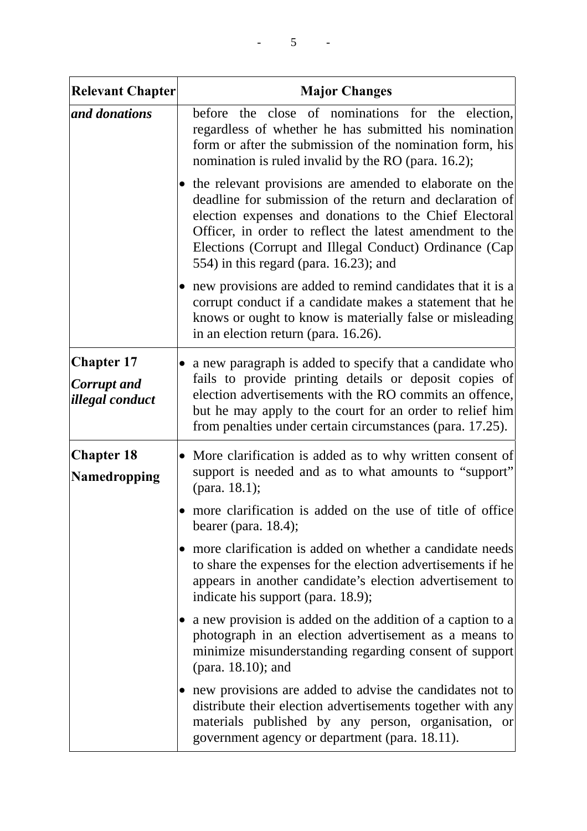| <b>Relevant Chapter</b>                                    | <b>Major Changes</b>                                                                                                                                                                                                                                                                                                                               |
|------------------------------------------------------------|----------------------------------------------------------------------------------------------------------------------------------------------------------------------------------------------------------------------------------------------------------------------------------------------------------------------------------------------------|
| and donations                                              | before the close of nominations for the election,<br>regardless of whether he has submitted his nomination<br>form or after the submission of the nomination form, his<br>nomination is ruled invalid by the RO (para. 16.2);                                                                                                                      |
|                                                            | • the relevant provisions are amended to elaborate on the<br>deadline for submission of the return and declaration of<br>election expenses and donations to the Chief Electoral<br>Officer, in order to reflect the latest amendment to the<br>Elections (Corrupt and Illegal Conduct) Ordinance (Cap<br>554) in this regard (para. $16.23$ ); and |
|                                                            | new provisions are added to remind candidates that it is a<br>corrupt conduct if a candidate makes a statement that he<br>knows or ought to know is materially false or misleading<br>in an election return (para. 16.26).                                                                                                                         |
| <b>Chapter 17</b><br><b>Corrupt</b> and<br>illegal conduct | a new paragraph is added to specify that a candidate who<br>$\bullet$<br>fails to provide printing details or deposit copies of<br>election advertisements with the RO commits an offence,<br>but he may apply to the court for an order to relief him<br>from penalties under certain circumstances (para. 17.25).                                |
| <b>Chapter 18</b><br>Namedropping                          | • More clarification is added as to why written consent of<br>support is needed and as to what amounts to "support"<br>(para. $18.1$ );                                                                                                                                                                                                            |
|                                                            | more clarification is added on the use of title of office<br>bearer (para. $18.4$ );                                                                                                                                                                                                                                                               |
|                                                            | more clarification is added on whether a candidate needs<br>$\bullet$<br>to share the expenses for the election advertisements if he<br>appears in another candidate's election advertisement to<br>indicate his support (para. 18.9);                                                                                                             |
|                                                            | a new provision is added on the addition of a caption to a<br>photograph in an election advertisement as a means to<br>minimize misunderstanding regarding consent of support<br>(para. 18.10); and                                                                                                                                                |
|                                                            | new provisions are added to advise the candidates not to<br>distribute their election advertisements together with any<br>materials published by any person, organisation, or<br>government agency or department (para. 18.11).                                                                                                                    |